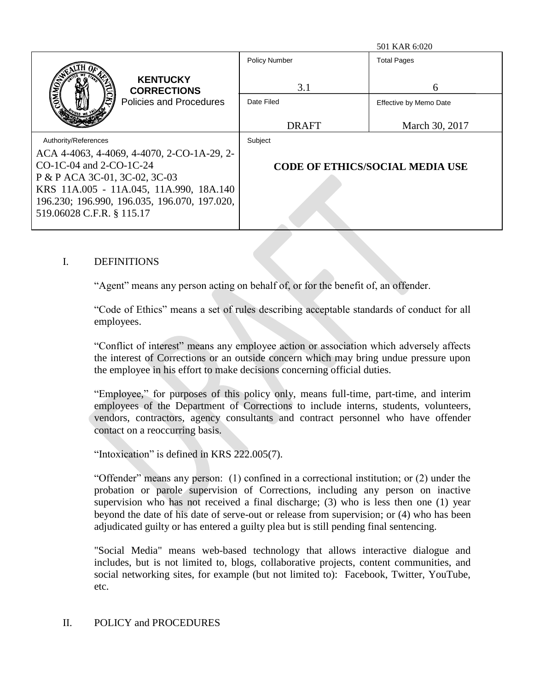|                                              |                                        | 501 KAR 6:020          |
|----------------------------------------------|----------------------------------------|------------------------|
|                                              | <b>Policy Number</b>                   | <b>Total Pages</b>     |
| <b>KENTUCKY</b><br><b>CORRECTIONS</b>        | 3.1                                    | 6                      |
| <b>Policies and Procedures</b>               | Date Filed                             | Effective by Memo Date |
|                                              | <b>DRAFT</b>                           | March 30, 2017         |
| Authority/References                         | Subject                                |                        |
| ACA 4-4063, 4-4069, 4-4070, 2-CO-1A-29, 2-   |                                        |                        |
| $CO-1C-04$ and $2-CO-1C-24$                  | <b>CODE OF ETHICS/SOCIAL MEDIA USE</b> |                        |
| P & P ACA 3C-01, 3C-02, 3C-03                |                                        |                        |
| KRS 11A.005 - 11A.045, 11A.990, 18A.140      |                                        |                        |
| 196.230; 196.990, 196.035, 196.070, 197.020, |                                        |                        |
| 519.06028 C.F.R. § 115.17                    |                                        |                        |

## I. DEFINITIONS

"Agent" means any person acting on behalf of, or for the benefit of, an offender.

"Code of Ethics" means a set of rules describing acceptable standards of conduct for all employees.

"Conflict of interest" means any employee action or association which adversely affects the interest of Corrections or an outside concern which may bring undue pressure upon the employee in his effort to make decisions concerning official duties.

"Employee," for purposes of this policy only, means full-time, part-time, and interim employees of the Department of Corrections to include interns, students, volunteers, vendors, contractors, agency consultants and contract personnel who have offender contact on a reoccurring basis.

"Intoxication" is defined in KRS 222.005(7).

"Offender" means any person: (1) confined in a correctional institution; or (2) under the probation or parole supervision of Corrections, including any person on inactive supervision who has not received a final discharge; (3) who is less then one (1) year beyond the date of his date of serve-out or release from supervision; or (4) who has been adjudicated guilty or has entered a guilty plea but is still pending final sentencing.

"Social Media" means web-based technology that allows interactive dialogue and includes, but is not limited to, blogs, collaborative projects, content communities, and social networking sites, for example (but not limited to): Facebook, Twitter, YouTube, etc.

## II. POLICY and PROCEDURES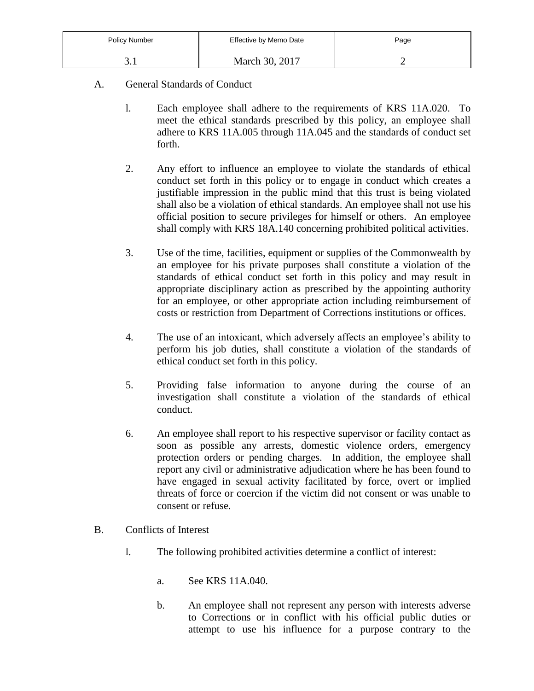| <b>Policy Number</b> | Effective by Memo Date | Page |
|----------------------|------------------------|------|
| J.I                  | March 30, 2017         |      |

- A. General Standards of Conduct
	- l. Each employee shall adhere to the requirements of KRS 11A.020. To meet the ethical standards prescribed by this policy, an employee shall adhere to KRS 11A.005 through 11A.045 and the standards of conduct set forth.
	- 2. Any effort to influence an employee to violate the standards of ethical conduct set forth in this policy or to engage in conduct which creates a justifiable impression in the public mind that this trust is being violated shall also be a violation of ethical standards. An employee shall not use his official position to secure privileges for himself or others. An employee shall comply with KRS 18A.140 concerning prohibited political activities.
	- 3. Use of the time, facilities, equipment or supplies of the Commonwealth by an employee for his private purposes shall constitute a violation of the standards of ethical conduct set forth in this policy and may result in appropriate disciplinary action as prescribed by the appointing authority for an employee, or other appropriate action including reimbursement of costs or restriction from Department of Corrections institutions or offices.
	- 4. The use of an intoxicant, which adversely affects an employee's ability to perform his job duties, shall constitute a violation of the standards of ethical conduct set forth in this policy.
	- 5. Providing false information to anyone during the course of an investigation shall constitute a violation of the standards of ethical conduct.
	- 6. An employee shall report to his respective supervisor or facility contact as soon as possible any arrests, domestic violence orders, emergency protection orders or pending charges. In addition, the employee shall report any civil or administrative adjudication where he has been found to have engaged in sexual activity facilitated by force, overt or implied threats of force or coercion if the victim did not consent or was unable to consent or refuse.
- B. Conflicts of Interest
	- l. The following prohibited activities determine a conflict of interest:
		- a. See KRS 11A.040.
		- b. An employee shall not represent any person with interests adverse to Corrections or in conflict with his official public duties or attempt to use his influence for a purpose contrary to the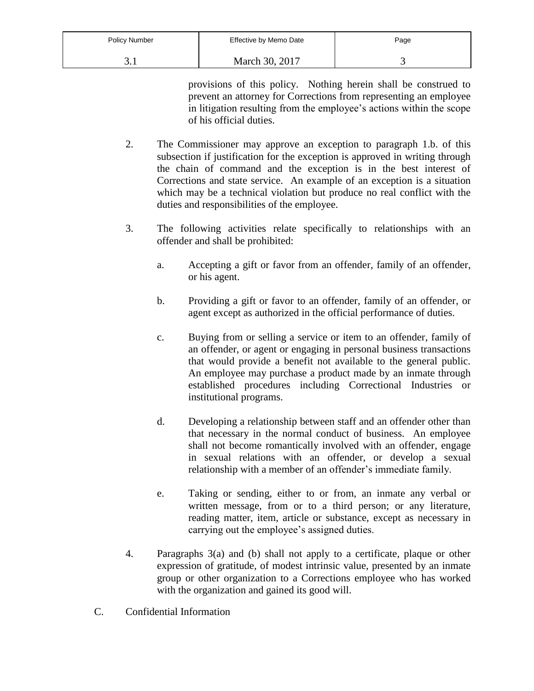| <b>Policy Number</b> | Effective by Memo Date | Page |
|----------------------|------------------------|------|
|                      | March 30, 2017         |      |

provisions of this policy. Nothing herein shall be construed to prevent an attorney for Corrections from representing an employee in litigation resulting from the employee's actions within the scope of his official duties.

- 2. The Commissioner may approve an exception to paragraph 1.b. of this subsection if justification for the exception is approved in writing through the chain of command and the exception is in the best interest of Corrections and state service. An example of an exception is a situation which may be a technical violation but produce no real conflict with the duties and responsibilities of the employee.
- 3. The following activities relate specifically to relationships with an offender and shall be prohibited:
	- a. Accepting a gift or favor from an offender, family of an offender, or his agent.
	- b. Providing a gift or favor to an offender, family of an offender, or agent except as authorized in the official performance of duties.
	- c. Buying from or selling a service or item to an offender, family of an offender, or agent or engaging in personal business transactions that would provide a benefit not available to the general public. An employee may purchase a product made by an inmate through established procedures including Correctional Industries or institutional programs.
	- d. Developing a relationship between staff and an offender other than that necessary in the normal conduct of business. An employee shall not become romantically involved with an offender, engage in sexual relations with an offender, or develop a sexual relationship with a member of an offender's immediate family.
	- e. Taking or sending, either to or from, an inmate any verbal or written message, from or to a third person; or any literature, reading matter, item, article or substance, except as necessary in carrying out the employee's assigned duties.
- 4. Paragraphs 3(a) and (b) shall not apply to a certificate, plaque or other expression of gratitude, of modest intrinsic value, presented by an inmate group or other organization to a Corrections employee who has worked with the organization and gained its good will.
- C. Confidential Information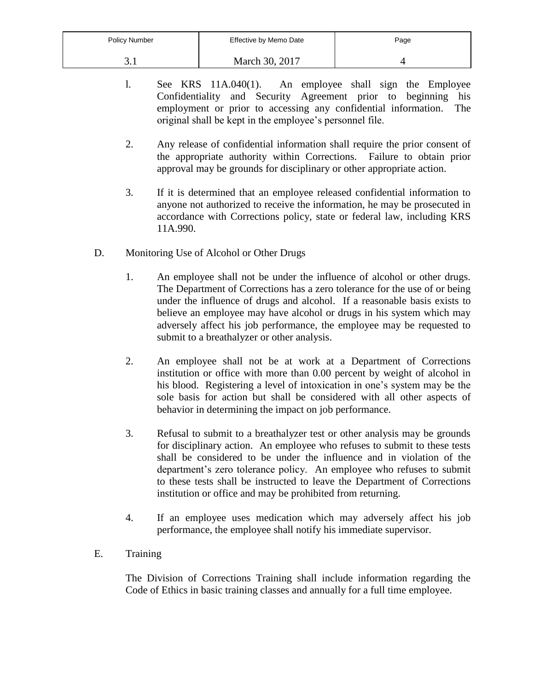| <b>Policy Number</b> | Effective by Memo Date | Page |
|----------------------|------------------------|------|
|                      | March 30, 2017         |      |

- l. See KRS 11A.040(1). An employee shall sign the Employee Confidentiality and Security Agreement prior to beginning his employment or prior to accessing any confidential information. The original shall be kept in the employee's personnel file.
- 2. Any release of confidential information shall require the prior consent of the appropriate authority within Corrections. Failure to obtain prior approval may be grounds for disciplinary or other appropriate action.
- 3. If it is determined that an employee released confidential information to anyone not authorized to receive the information, he may be prosecuted in accordance with Corrections policy, state or federal law, including KRS 11A.990.
- D. Monitoring Use of Alcohol or Other Drugs
	- 1. An employee shall not be under the influence of alcohol or other drugs. The Department of Corrections has a zero tolerance for the use of or being under the influence of drugs and alcohol. If a reasonable basis exists to believe an employee may have alcohol or drugs in his system which may adversely affect his job performance, the employee may be requested to submit to a breathalyzer or other analysis.
	- 2. An employee shall not be at work at a Department of Corrections institution or office with more than 0.00 percent by weight of alcohol in his blood. Registering a level of intoxication in one's system may be the sole basis for action but shall be considered with all other aspects of behavior in determining the impact on job performance.
	- 3. Refusal to submit to a breathalyzer test or other analysis may be grounds for disciplinary action. An employee who refuses to submit to these tests shall be considered to be under the influence and in violation of the department's zero tolerance policy. An employee who refuses to submit to these tests shall be instructed to leave the Department of Corrections institution or office and may be prohibited from returning.
	- 4. If an employee uses medication which may adversely affect his job performance, the employee shall notify his immediate supervisor.
- E. Training

The Division of Corrections Training shall include information regarding the Code of Ethics in basic training classes and annually for a full time employee.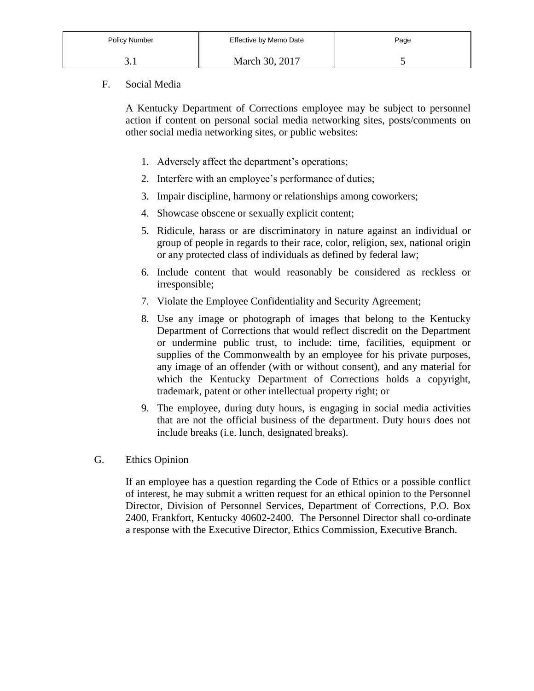| <b>Policy Number</b> | Effective by Memo Date | Page |
|----------------------|------------------------|------|
|                      | March 30, 2017         |      |

## F. Social Media

A Kentucky Department of Corrections employee may be subject to personnel action if content on personal social media networking sites, posts/comments on other social media networking sites, or public websites:

- 1. Adversely affect the department's operations;
- 2. Interfere with an employee's performance of duties;
- 3. Impair discipline, harmony or relationships among coworkers;
- 4. Showcase obscene or sexually explicit content;
- 5. Ridicule, harass or are discriminatory in nature against an individual or group of people in regards to their race, color, religion, sex, national origin or any protected class of individuals as defined by federal law;
- 6. Include content that would reasonably be considered as reckless or irresponsible;
- 7. Violate the Employee Confidentiality and Security Agreement;
- 8. Use any image or photograph of images that belong to the Kentucky Department of Corrections that would reflect discredit on the Department or undermine public trust, to include: time, facilities, equipment or supplies of the Commonwealth by an employee for his private purposes, any image of an offender (with or without consent), and any material for which the Kentucky Department of Corrections holds a copyright, trademark, patent or other intellectual property right; or
- 9. The employee, during duty hours, is engaging in social media activities that are not the official business of the department. Duty hours does not include breaks (i.e. lunch, designated breaks).
- G. Ethics Opinion

If an employee has a question regarding the Code of Ethics or a possible conflict of interest, he may submit a written request for an ethical opinion to the Personnel Director, Division of Personnel Services, Department of Corrections, P.O. Box 2400, Frankfort, Kentucky 40602-2400. The Personnel Director shall co-ordinate a response with the Executive Director, Ethics Commission, Executive Branch.